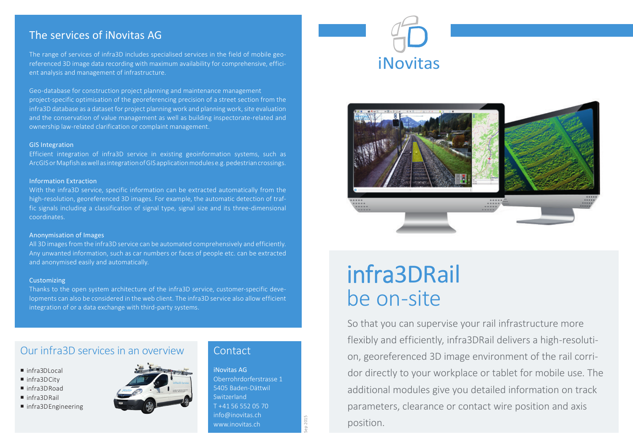# The services of iNovitas AG

The range of services of infra3D includes specialised services in the field of mobile georeferenced 3D image data recording with maximum availability for comprehensive, efficient analysis and management of infrastructure.

Geo-database for construction project planning and maintenance management project-specific optimisation of the georeferencing precision of a street section from the infra3D database as a dataset for project planning work and planning work, site evaluation and the conservation of value management as well as building inspectorate-related and ownership law-related clarification or complaint management.

#### GIS Integration

Efficient integration of infra3D service in existing geoinformation systems, such as ArcGIS or Mapfish as well as integration of GIS application modules e.g. pedestrian crossings.

#### Information Extraction

With the infra3D service, specific information can be extracted automatically from the high-resolution, georeferenced 3D images. For example, the automatic detection of traffic signals including a classification of signal type, signal size and its three-dimensional coordinates.

#### Anonymisation of Images

All 3D images from the infra3D service can be automated comprehensively and efficiently. Any unwanted information, such as car numbers or faces of people etc. can be extracted and anonymised easily and automatically.

#### **Customizing**

Thanks to the open system architecture of the infra3D service, customer-specific developments can also be considered in the web client. The infra3D service also allow efficient integration of or a data exchange with third-party systems.

## Our infra3D services in an overview

- infra3DLocal
- infra3DCity
- infra3DRoad
- infra3DRail
- infra3DEngineering



### **Contact**

iNovitas AG Oberrohrdorferstrasse 1 5405 Baden-Dättwil Switzerland T +41 56 552 05 70 info@inovitas.ch www.inovitas.ch

Sep 2015





# infra3DRail be on-site

So that you can supervise your rail infrastructure more flexibly and efficiently, infra3DRail delivers a high-resolution, georeferenced 3D image environment of the rail corridor directly to your workplace or tablet for mobile use. The additional modules give you detailed information on track parameters, clearance or contact wire position and axis position.